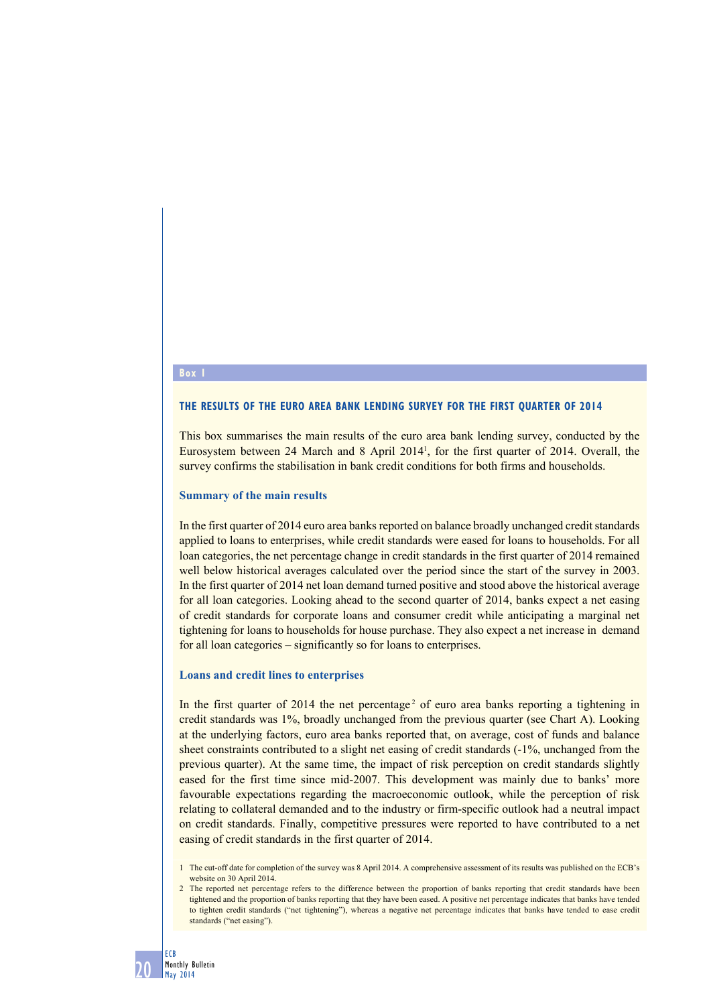#### **Box**

#### **The results of the euro area bank lending survey for the first quarter of 2014**

This box summarises the main results of the euro area bank lending survey, conducted by the Eurosystem between 24 March and 8 April 20141 , for the first quarter of 2014. Overall, the survey confirms the stabilisation in bank credit conditions for both firms and households.

## **Summary of the main results**

In the first quarter of 2014 euro area banks reported on balance broadly unchanged credit standards applied to loans to enterprises, while credit standards were eased for loans to households. For all loan categories, the net percentage change in credit standards in the first quarter of 2014 remained well below historical averages calculated over the period since the start of the survey in 2003. In the first quarter of 2014 net loan demand turned positive and stood above the historical average for all loan categories. Looking ahead to the second quarter of 2014, banks expect a net easing of credit standards for corporate loans and consumer credit while anticipating a marginal net tightening for loans to households for house purchase. They also expect a net increase in demand for all loan categories – significantly so for loans to enterprises.

### **Loans and credit lines to enterprises**

In the first quarter of 2014 the net percentage<sup>2</sup> of euro area banks reporting a tightening in credit standards was 1%, broadly unchanged from the previous quarter (see Chart A). Looking at the underlying factors, euro area banks reported that, on average, cost of funds and balance sheet constraints contributed to a slight net easing of credit standards (-1%, unchanged from the previous quarter). At the same time, the impact of risk perception on credit standards slightly eased for the first time since mid-2007. This development was mainly due to banks' more favourable expectations regarding the macroeconomic outlook, while the perception of risk relating to collateral demanded and to the industry or firm-specific outlook had a neutral impact on credit standards. Finally, competitive pressures were reported to have contributed to a net easing of credit standards in the first quarter of 2014.

1 The cut-off date for completion of the survey was 8 April 2014. A comprehensive assessment of its results was published on the ECB's website on 30 April 2014.

<sup>2</sup> The reported net percentage refers to the difference between the proportion of banks reporting that credit standards have been tightened and the proportion of banks reporting that they have been eased. A positive net percentage indicates that banks have tended to tighten credit standards ("net tightening"), whereas a negative net percentage indicates that banks have tended to ease credit standards ("net easing").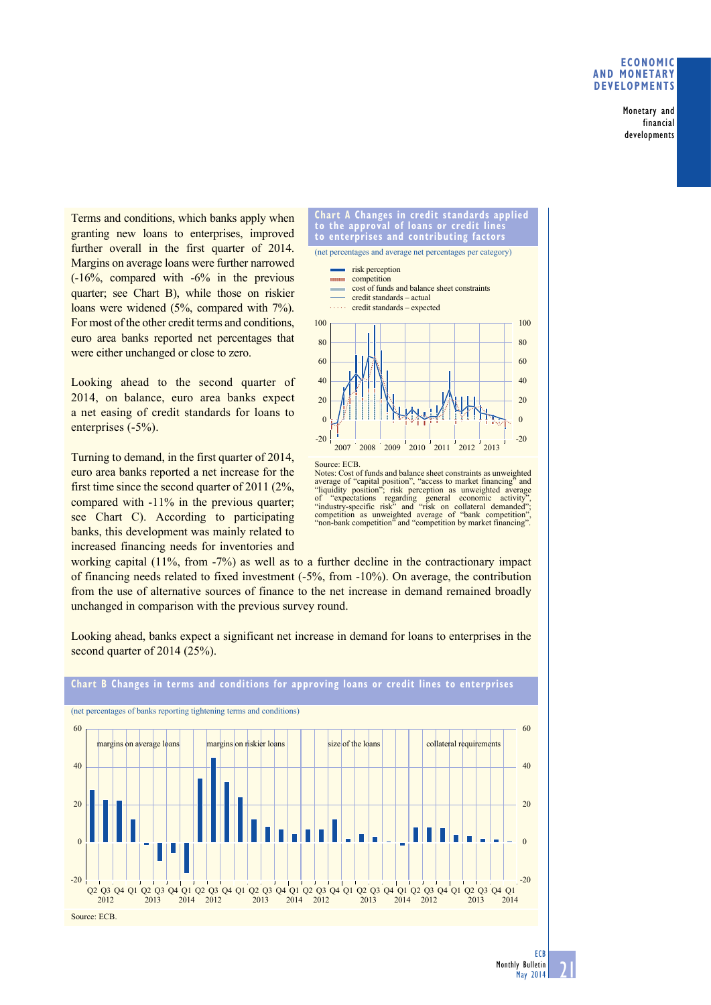## **Economic and monetary developments**

Monetary and financial developments

Terms and conditions, which banks apply when granting new loans to enterprises, improved further overall in the first quarter of 2014. Margins on average loans were further narrowed (-16%, compared with -6% in the previous quarter; see Chart B), while those on riskier loans were widened (5%, compared with 7%). For most of the other credit terms and conditions, euro area banks reported net percentages that were either unchanged or close to zero.

Looking ahead to the second quarter of 2014, on balance, euro area banks expect a net easing of credit standards for loans to enterprises (-5%).

Turning to demand, in the first quarter of 2014, euro area banks reported a net increase for the first time since the second quarter of 2011 (2%, compared with -11% in the previous quarter; see Chart C). According to participating banks, this development was mainly related to increased financing needs for inventories and



Notes: Cost of funds and balance sheet constraints as unweighted average of "capital position", "access to market financing" and "liquidity position"; risk perception as unweighted average of "expectations regarding general economic activity", "industry-specific risk" and "risk on collateral demanded"; competition as unweighted average of "bank competition", 'non-bank competition" and "competition by market financing"

working capital (11%, from -7%) as well as to a further decline in the contractionary impact of financing needs related to fixed investment (-5%, from -10%). On average, the contribution from the use of alternative sources of finance to the net increase in demand remained broadly unchanged in comparison with the previous survey round.

Looking ahead, banks expect a significant net increase in demand for loans to enterprises in the second quarter of 2014 (25%).

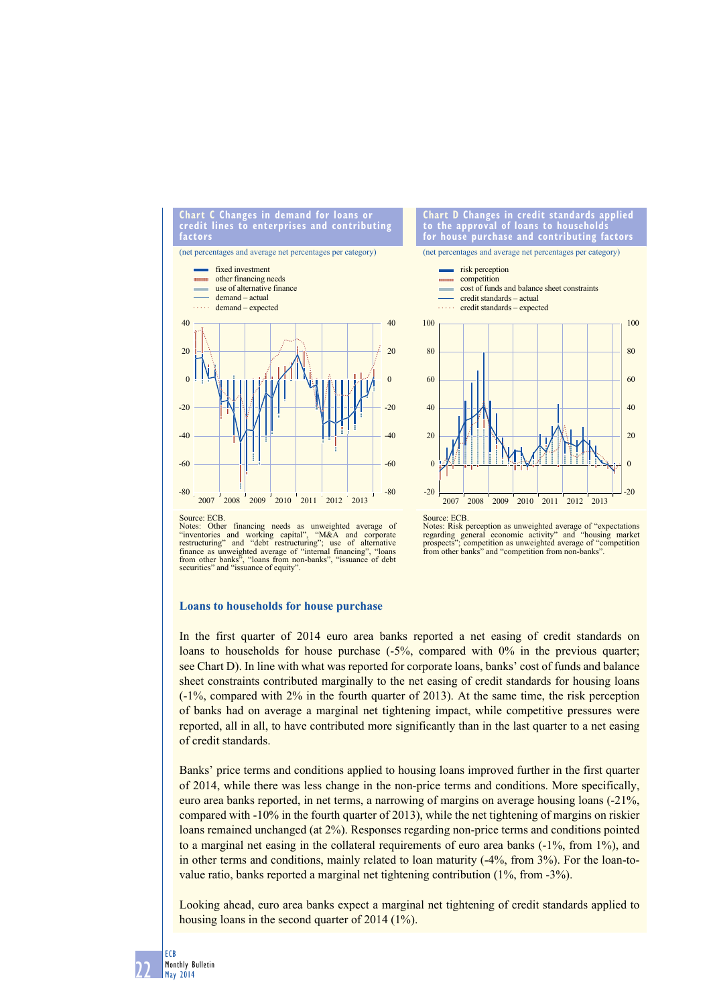#### **chart c changes in demand for loans or credit lines to enterprises and contributing factors**

(net percentages and average net percentages per category)



#### **chart d changes in credit standards applied to the approval of loans to households for house purchase and contributing factors**

(net percentages and average net percentages per category)



Notes: Other financing needs as unweighted average of "inventories and working capital", "M&A and corporate restructuring" and "debt restructuring"; use of alternative finance as unweighted average of "internal financing", "loans from other banks", "loans from non-banks", "issuance of debt securities" and "issuance of equity"

Source: ECB. Notes: Risk perception as unweighted average of "expectations regarding general economic activity" and "housing market prospects"; competition as unweighted average of "competition" from other banks" and "competition from non-banks"

## **Loans to households for house purchase**

In the first quarter of 2014 euro area banks reported a net easing of credit standards on loans to households for house purchase (-5%, compared with 0% in the previous quarter; see Chart D). In line with what was reported for corporate loans, banks' cost of funds and balance sheet constraints contributed marginally to the net easing of credit standards for housing loans (-1%, compared with 2% in the fourth quarter of 2013). At the same time, the risk perception of banks had on average a marginal net tightening impact, while competitive pressures were reported, all in all, to have contributed more significantly than in the last quarter to a net easing of credit standards.

Banks' price terms and conditions applied to housing loans improved further in the first quarter of 2014, while there was less change in the non-price terms and conditions. More specifically, euro area banks reported, in net terms, a narrowing of margins on average housing loans (-21%, compared with -10% in the fourth quarter of 2013), while the net tightening of margins on riskier loans remained unchanged (at 2%). Responses regarding non-price terms and conditions pointed to a marginal net easing in the collateral requirements of euro area banks (-1%, from 1%), and in other terms and conditions, mainly related to loan maturity (-4%, from 3%). For the loan-tovalue ratio, banks reported a marginal net tightening contribution (1%, from -3%).

Looking ahead, euro area banks expect a marginal net tightening of credit standards applied to housing loans in the second quarter of 2014 (1%).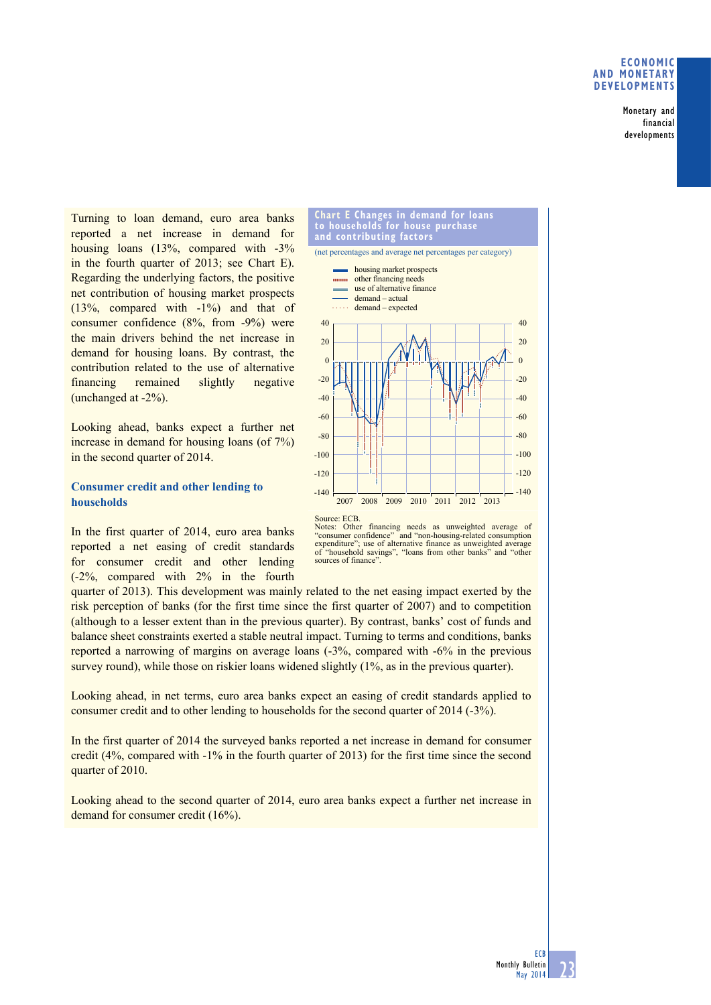# **Economic and monetary developments**

Monetary and financial developments

Turning to loan demand, euro area banks reported a net increase in demand for housing loans (13%, compared with -3% in the fourth quarter of 2013; see Chart E). Regarding the underlying factors, the positive net contribution of housing market prospects (13%, compared with -1%) and that of consumer confidence (8%, from -9%) were the main drivers behind the net increase in demand for housing loans. By contrast, the contribution related to the use of alternative financing remained slightly negative (unchanged at -2%).

Looking ahead, banks expect a further net increase in demand for housing loans (of 7%) in the second quarter of 2014.

# **Consumer credit and other lending to households**

In the first quarter of 2014, euro area banks reported a net easing of credit standards for consumer credit and other lending (-2%, compared with 2% in the fourth



Notes: Other financing needs as unweighted average of "consumer confidence" and "non-housing-related consumption expenditure"; use of alternative finance as unweighted average of "household savings", "loans from other banks" and "other sources of finance".

quarter of 2013). This development was mainly related to the net easing impact exerted by the risk perception of banks (for the first time since the first quarter of 2007) and to competition (although to a lesser extent than in the previous quarter). By contrast, banks' cost of funds and balance sheet constraints exerted a stable neutral impact. Turning to terms and conditions, banks reported a narrowing of margins on average loans (-3%, compared with -6% in the previous survey round), while those on riskier loans widened slightly (1%, as in the previous quarter).

Looking ahead, in net terms, euro area banks expect an easing of credit standards applied to consumer credit and to other lending to households for the second quarter of 2014 (-3%).

In the first quarter of 2014 the surveyed banks reported a net increase in demand for consumer credit (4%, compared with -1% in the fourth quarter of 2013) for the first time since the second quarter of 2010.

Looking ahead to the second quarter of 2014, euro area banks expect a further net increase in demand for consumer credit (16%).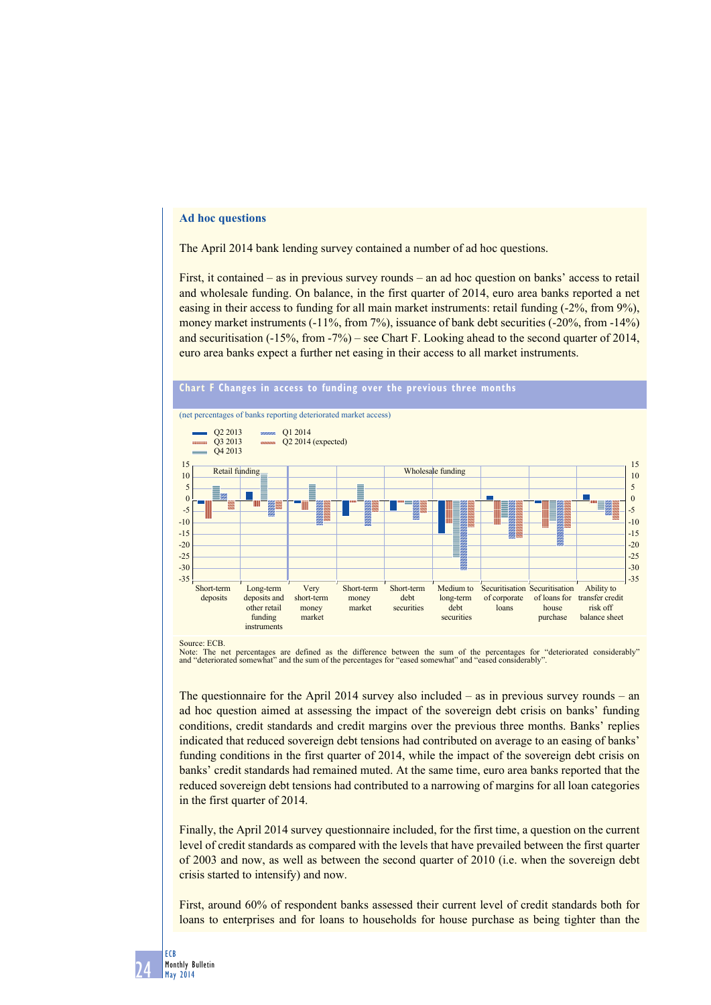# **Ad hoc questions**

The April 2014 bank lending survey contained a number of ad hoc questions.

First, it contained – as in previous survey rounds – an ad hoc question on banks' access to retail and wholesale funding. On balance, in the first quarter of 2014, euro area banks reported a net easing in their access to funding for all main market instruments: retail funding (-2%, from 9%), money market instruments  $(-11\%,$  from 7%), issuance of bank debt securities  $(-20\%,$  from  $-14\%)$ and securitisation (-15%, from -7%) – see Chart F. Looking ahead to the second quarter of 2014, euro area banks expect a further net easing in their access to all market instruments.



Source: ECB.

Note: The net percentages are defined as the difference between the sum of the percentages for "deteriorated considerably"<br>and "deteriorated somewhat" and the sum of the percentages for "eased somewhat" and "eased consider

The questionnaire for the April 2014 survey also included – as in previous survey rounds – an ad hoc question aimed at assessing the impact of the sovereign debt crisis on banks' funding conditions, credit standards and credit margins over the previous three months. Banks' replies indicated that reduced sovereign debt tensions had contributed on average to an easing of banks' funding conditions in the first quarter of 2014, while the impact of the sovereign debt crisis on banks' credit standards had remained muted. At the same time, euro area banks reported that the reduced sovereign debt tensions had contributed to a narrowing of margins for all loan categories in the first quarter of 2014.

Finally, the April 2014 survey questionnaire included, for the first time, a question on the current level of credit standards as compared with the levels that have prevailed between the first quarter of 2003 and now, as well as between the second quarter of 2010 (i.e. when the sovereign debt crisis started to intensify) and now.

First, around 60% of respondent banks assessed their current level of credit standards both for loans to enterprises and for loans to households for house purchase as being tighter than the